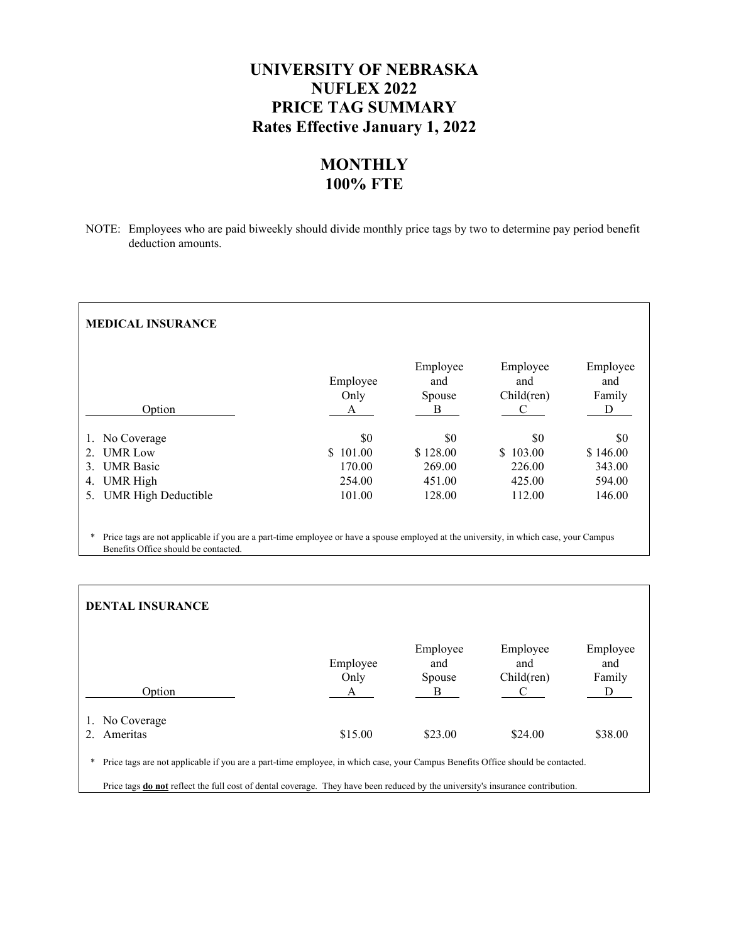# **UNIVERSITY OF NEBRASKA NUFLEX 2022 PRICE TAG SUMMARY Rates Effective January 1, 2022**

# **MONTHLY 100% FTE**

NOTE: Employees who are paid biweekly should divide monthly price tags by two to determine pay period benefit deduction amounts.

| <b>MEDICAL INSURANCE</b>                                                                                                                                                      |                         |                                |                                    |                                |
|-------------------------------------------------------------------------------------------------------------------------------------------------------------------------------|-------------------------|--------------------------------|------------------------------------|--------------------------------|
| Option                                                                                                                                                                        | Employee<br>Only<br>А   | Employee<br>and<br>Spouse<br>Β | Employee<br>and<br>Child(ren)<br>C | Employee<br>and<br>Family<br>D |
|                                                                                                                                                                               |                         |                                |                                    |                                |
| No Coverage<br>1.                                                                                                                                                             | \$0                     | \$0                            | \$0                                | \$0                            |
| <b>UMR</b> Low                                                                                                                                                                | 101.00<br><sup>\$</sup> | \$128.00                       | \$103.00                           | \$146.00                       |
| <b>UMR</b> Basic<br>3                                                                                                                                                         | 170.00                  | 269.00                         | 226.00                             | 343.00                         |
| UMR High<br>4.                                                                                                                                                                | 254.00                  | 451.00                         | 425.00                             | 594.00                         |
| <b>UMR High Deductible</b><br>5.                                                                                                                                              | 101.00                  | 128.00                         | 112.00                             | 146.00                         |
|                                                                                                                                                                               |                         |                                |                                    |                                |
| Price tags are not applicable if you are a part-time employee or have a spouse employed at the university, in which case, your Campus<br>Benefits Office should be contacted. |                         |                                |                                    |                                |

| <b>DENTAL INSURANCE</b>                                                                                                                                                                                                                                                      |                  |                                |                               |                           |
|------------------------------------------------------------------------------------------------------------------------------------------------------------------------------------------------------------------------------------------------------------------------------|------------------|--------------------------------|-------------------------------|---------------------------|
| Option                                                                                                                                                                                                                                                                       | Employee<br>Only | Employee<br>and<br>Spouse<br>В | Employee<br>and<br>Child(ren) | Employee<br>and<br>Family |
| No Coverage                                                                                                                                                                                                                                                                  |                  |                                |                               |                           |
| Ameritas                                                                                                                                                                                                                                                                     | \$15.00          | \$23.00                        | \$24.00                       | \$38.00                   |
| Price tags are not applicable if you are a part-time employee, in which case, your Campus Benefits Office should be contacted.<br>*<br>Price tags <b>do not</b> reflect the full cost of dental coverage. They have been reduced by the university's insurance contribution. |                  |                                |                               |                           |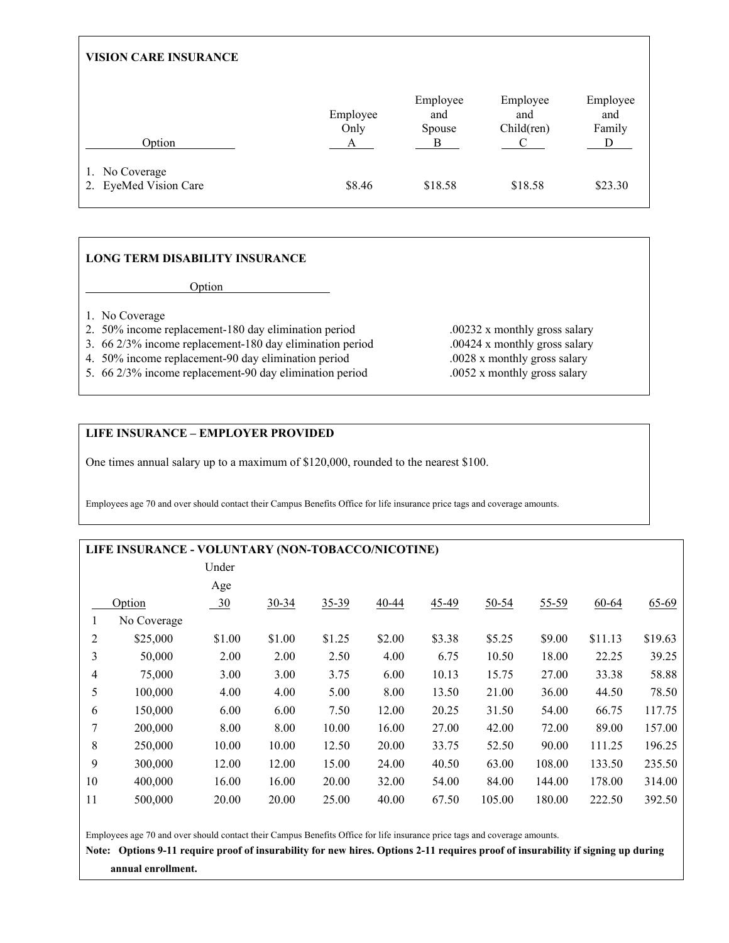| <b>VISION CARE INSURANCE</b>            |                       |                                |                               |                                |  |  |
|-----------------------------------------|-----------------------|--------------------------------|-------------------------------|--------------------------------|--|--|
| Option                                  | Employee<br>Only<br>А | Employee<br>and<br>Spouse<br>B | Employee<br>and<br>Child(ren) | Employee<br>and<br>Family<br>D |  |  |
| 1. No Coverage<br>2. EyeMed Vision Care | \$8.46                | \$18.58                        | \$18.58                       | \$23.30                        |  |  |

## **LONG TERM DISABILITY INSURANCE**

**Option** 

- 1. No Coverage
- 2. 50% income replacement-180 day elimination period .00232 x monthly gross salary
- 3. 66 2/3% income replacement-180 day elimination period .00424 x monthly gross salary
- 4. 50% income replacement-90 day elimination period .0028 x monthly gross salary
- 5. 66 2/3% income replacement-90 day elimination period .0052 x monthly gross salary
- **LIFE INSURANCE EMPLOYER PROVIDED**

One times annual salary up to a maximum of \$120,000, rounded to the nearest \$100.

Employees age 70 and over should contact their Campus Benefits Office for life insurance price tags and coverage amounts.

## **LIFE INSURANCE - VOLUNTARY (NON-TOBACCO/NICOTINE)**

|             | Age    |           |           |           |           |           |           |           |           |
|-------------|--------|-----------|-----------|-----------|-----------|-----------|-----------|-----------|-----------|
|             |        |           |           |           |           |           |           |           |           |
| Option      |        | $30 - 34$ | $35 - 39$ | $40 - 44$ | $45 - 49$ | $50 - 54$ | $55 - 59$ | $60 - 64$ | $65 - 69$ |
| No Coverage |        |           |           |           |           |           |           |           |           |
| \$25,000    | \$1.00 | \$1.00    | \$1.25    | \$2.00    | \$3.38    | \$5.25    | \$9.00    | \$11.13   | \$19.63   |
| 50,000      | 2.00   | 2.00      | 2.50      | 4.00      | 6.75      | 10.50     | 18.00     | 22.25     | 39.25     |
| 75,000      | 3.00   | 3.00      | 3.75      | 6.00      | 10.13     | 15.75     | 27.00     | 33.38     | 58.88     |
| 100,000     | 4.00   | 4.00      | 5.00      | 8.00      | 13.50     | 21.00     | 36.00     | 44.50     | 78.50     |
| 150,000     | 6.00   | 6.00      | 7.50      | 12.00     | 20.25     | 31.50     | 54.00     | 66.75     | 117.75    |
| 200,000     | 8.00   | 8.00      | 10.00     | 16.00     | 27.00     | 42.00     | 72.00     | 89.00     | 157.00    |
| 250,000     | 10.00  | 10.00     | 12.50     | 20.00     | 33.75     | 52.50     | 90.00     | 111.25    | 196.25    |
| 300,000     | 12.00  | 12.00     | 15.00     | 24.00     | 40.50     | 63.00     | 108.00    | 133.50    | 235.50    |
| 400,000     | 16.00  | 16.00     | 20.00     | 32.00     | 54.00     | 84.00     | 144.00    | 178.00    | 314.00    |
| 500,000     | 20.00  | 20.00     | 25.00     | 40.00     | 67.50     | 105.00    | 180.00    | 222.50    | 392.50    |
|             |        | $-30$     |           |           |           |           |           |           |           |

Employees age 70 and over should contact their Campus Benefits Office for life insurance price tags and coverage amounts.

**Note: Options 9-11 require proof of insurability for new hires. Options 2-11 requires proof of insurability if signing up during annual enrollment.**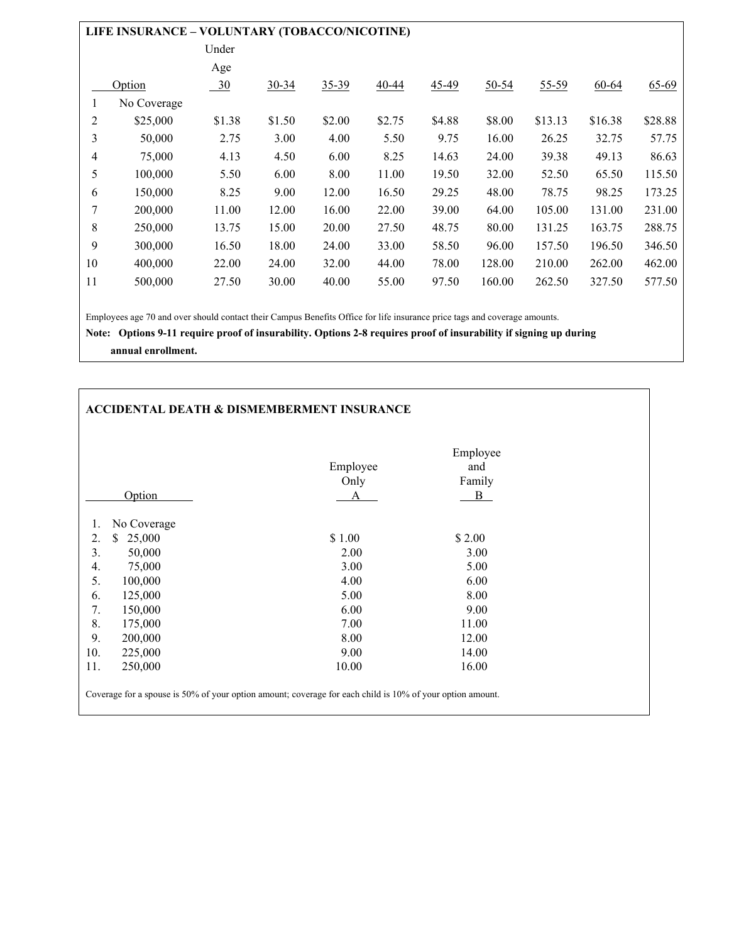|                | LIFE INSURANCE - VOLUNTARY (TOBACCO/NICOTINE) |        |           |           |           |         |           |           |           |           |
|----------------|-----------------------------------------------|--------|-----------|-----------|-----------|---------|-----------|-----------|-----------|-----------|
|                |                                               | Under  |           |           |           |         |           |           |           |           |
|                |                                               | Age    |           |           |           |         |           |           |           |           |
|                | Option                                        | $-30$  | $30 - 34$ | $35 - 39$ | $40 - 44$ | $45-49$ | $50 - 54$ | $55 - 59$ | $60 - 64$ | $65 - 69$ |
|                | No Coverage                                   |        |           |           |           |         |           |           |           |           |
| 2              | \$25,000                                      | \$1.38 | \$1.50    | \$2.00    | \$2.75    | \$4.88  | \$8.00    | \$13.13   | \$16.38   | \$28.88   |
| 3              | 50,000                                        | 2.75   | 3.00      | 4.00      | 5.50      | 9.75    | 16.00     | 26.25     | 32.75     | 57.75     |
| $\overline{4}$ | 75,000                                        | 4.13   | 4.50      | 6.00      | 8.25      | 14.63   | 24.00     | 39.38     | 49.13     | 86.63     |
| 5              | 100,000                                       | 5.50   | 6.00      | 8.00      | 11.00     | 19.50   | 32.00     | 52.50     | 65.50     | 115.50    |
| 6              | 150,000                                       | 8.25   | 9.00      | 12.00     | 16.50     | 29.25   | 48.00     | 78.75     | 98.25     | 173.25    |
| 7              | 200,000                                       | 11.00  | 12.00     | 16.00     | 22.00     | 39.00   | 64.00     | 105.00    | 131.00    | 231.00    |
| 8              | 250,000                                       | 13.75  | 15.00     | 20.00     | 27.50     | 48.75   | 80.00     | 131.25    | 163.75    | 288.75    |
| 9              | 300,000                                       | 16.50  | 18.00     | 24.00     | 33.00     | 58.50   | 96.00     | 157.50    | 196.50    | 346.50    |
| 10             | 400,000                                       | 22.00  | 24.00     | 32.00     | 44.00     | 78.00   | 128.00    | 210.00    | 262.00    | 462.00    |
| 11             | 500,000                                       | 27.50  | 30.00     | 40.00     | 55.00     | 97.50   | 160.00    | 262.50    | 327.50    | 577.50    |
|                |                                               |        |           |           |           |         |           |           |           |           |

Employees age 70 and over should contact their Campus Benefits Office for life insurance price tags and coverage amounts.

**Note: Options 9-11 require proof of insurability. Options 2-8 requires proof of insurability if signing up during** 

 **annual enrollment.** 

## **ACCIDENTAL DEATH & DISMEMBERMENT INSURANCE**

|                    | Employee<br>Only | Employee<br>and<br>Family |
|--------------------|------------------|---------------------------|
| Option             | A                | $\overline{B}$            |
| 1.<br>No Coverage  |                  |                           |
| 2.<br>\$<br>25,000 | \$1.00           | \$2.00                    |
| 3.<br>50,000       | 2.00             | 3.00                      |
| 4.<br>75,000       | 3.00             | 5.00                      |
| 5.<br>100,000      | 4.00             | 6.00                      |
| 6.<br>125,000      | 5.00             | 8.00                      |
| 7.<br>150,000      | 6.00             | 9.00                      |
| 8.<br>175,000      | 7.00             | 11.00                     |
| 9.<br>200,000      | 8.00             | 12.00                     |
| 10.<br>225,000     | 9.00             | 14.00                     |
| 11.<br>250,000     | 10.00            | 16.00                     |